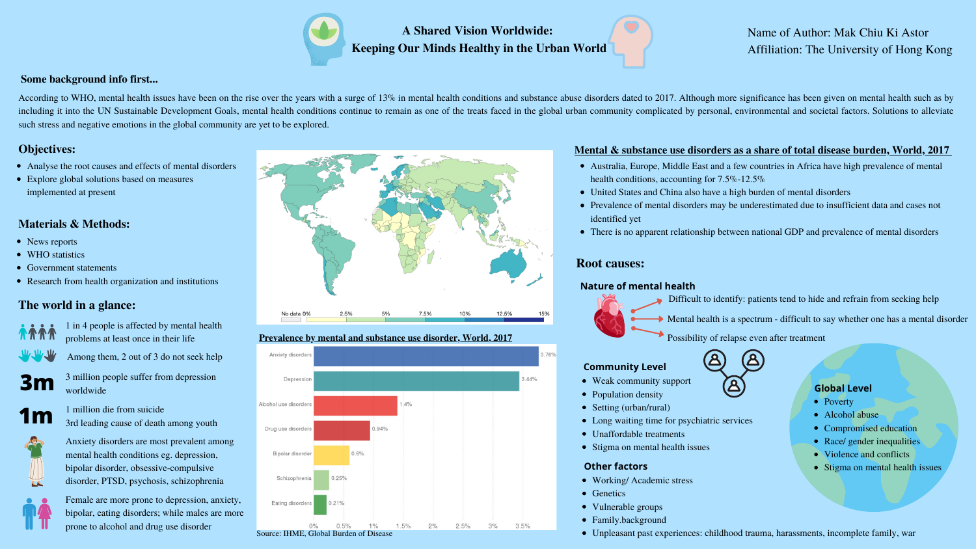Mental health is a spectrum - difficult to say whether one has a mental disorder

According to WHO, mental health issues have been on the rise over the years with a surge of 13% in mental health conditions and substance abuse disorders dated to 2017. Although more significance has been given on mental h including it into the UN Sustainable Development Goals, mental health conditions continue to remain as one of the treats faced in the global urban community complicated by personal, environmental and societal factors. Solu such stress and negative emotions in the global community are yet to be explored.

- Among them, 2 out of 3 do not seek help
- **3m** <sup>3</sup> million people suffer from depression worldwide



**1** million die from suicide<br>3rd leading cause of death among youth



# **A Shared Vision Worldwide: Keeping Our Minds Healthy in the Urban World**

## **Some background info first...**

Name of Author: Mak Chiu Ki Astor Affiliation: The University of Hong Kong

# **Objectives:**

- Analyse the root causes and effects of mental disorders
- Explore global solutions based on measures implemented at present

## **Materials & Methods:**

- News reports
- WHO statistics
- Government statements
- Research from health organization and institutions

# **Root causes:**



- 
- 
- 
- 
- 
- 
- Stigma on mental health issues



# **The world in a glance:**



- Working/ Academic stress
	-
- Vulnerable groups
- Family.background

1 in 4 people is affected by mental health problems at least once in their life



Anxiety disorders are most prevalent among mental health conditions eg. depression, bipolar disorder, obsessive-compulsive disorder, PTSD, psychosis, schizophrenia



Female are more prone to depression, anxiety, bipolar, eating disorders; while males are more prone to alcohol and drug use disorder





- 
- Genetics
	-
- 
- 



# **Prevalence by mental and substance use disorder, World, 2017**

Australia, Europe, Middle East and a few countries in Africa have high prevalence of mental health conditions, accounting for 7.5%-12.5%

- 
- United States and China also have a high burden of mental disorders
- Prevalence of mental disorders may be underestimated due to insufficient data and cases not identified yet
- 

There is no apparent relationship between national GDP and prevalence of mental disorders

### **Mental & substance use disorders as a share of total disease burden, World, 2017**

Unpleasant past experiences: childhood trauma, harassments, incomplete family, war

#### **Nature of mental health**

Difficult to identify: patients tend to hide and refrain from seeking help

Possibility of relapse even after treatment

## **Community Level**

- Weak community support
- Population density
- Setting (urban/rural)
- Long waiting time for psychiatric services
- Unaffordable treatments

## **Global Level**

- Poverty
- Alcohol abuse
- Compromised education
- Race/ gender inequalities
- Violence and conflicts
- Stigma on mental health issues

## **Other factors**